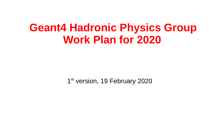# **Geant4 Hadronic Physics Group Work Plan for 2020**

1<sup>st</sup> version, 19 February 2020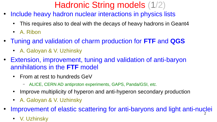# Hadronic String models (1/2)

- Include heavy hadron nuclear interactions in physics lists
	- This requires also to deal with the decays of heavy hadrons in Geant4
	- A. Ribon
- Tuning and validation of charm production for **FTF** and **QGS**
	- A. Galoyan & V. Uzhinsky
- Extension, improvement, tuning and validation of anti-baryon annihilations in the **FTF** model
	- From at rest to hundreds GeV
		- ALICE, CERN AD antiproton experiments, GAPS, Panda/GSI, *etc.*
	- Improve multiplicity of hyperon and anti-hyperon secondary production
	- A. Galoyan & V. Uzhinsky
- 2 • Improvement of elastic scattering for anti-baryons and light anti-nuclei
	- V. Uzhinsky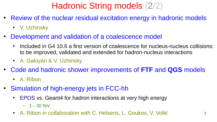# Hadronic String models (2/2)

- Review of the nuclear residual excitation energy in hadronic models
	- V. Uzhinsky
- Development and validation of a coalescence model
	- Included in G4 10.6 a first version of coalescence for nucleus-nucleus collisions: to be improved, validated and extended for hadron-nucleus interactions
	- A. Galoyan & V. Uzhinsky
- Code and hadronic shower improvements of **FTF** and **QGS** models
	- A. Ribon
- Simulation of high-energy jets in FCC-hh
	- EPOS vs. Geant4 for hadron interactions at very high energy
		- $-1 20$  TeV
	- A. Ribon *in collaboration with* C. Helsens, L. Goukos, V. Volkl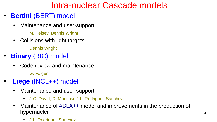#### Intra-nuclear Cascade models

- **Bertini** (BERT) model
	- Maintenance and user-support
		- M. Kelsey, Dennis Wright
	- Collisions with light targets
		- Dennis Wright
- **Binary** (BIC) model
	- Code review and maintenance
		- G. Folger
- **Liege** (INCL++) model
	- Maintenance and user-support
		- J-C. David, D. Mancusi, J.L. Rodriguez Sanchez
	- Maintenance of ABLA++ model and improvements in the production of hypernuclei
		- J.L. Rodriguez Sanchez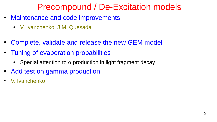#### Precompound / De-Excitation models

- Maintenance and code improvements
	- V. Ivanchenko, J.M. Quesada
- Complete, validate and release the new GEM model
- Tuning of evaporation probabilities
	- Special attention to  $\alpha$  production in light fragment decay
- Add test on gamma production
- V. Ivanchenko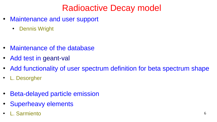#### Radioactive Decay model

- Maintenance and user support
	- Dennis Wright

- Maintenance of the database
- Add test in geant-val
- Add functionality of user spectrum definition for beta spectrum shape
- L. Desorgher
- **Beta-delayed particle emission**
- Superheavy elements
- L. Sarmiento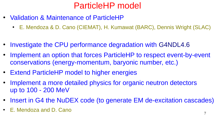#### ParticleHP model

- Validation & Maintenance of ParticleHP
	- E. Mendoza & D. Cano (CIEMAT), H. Kumawat (BARC), Dennis Wright (SLAC)
- Investigate the CPU performance degradation with G4NDL4.6
- Implement an option that forces ParticleHP to respect event-by-event conservations (energy-momentum, baryonic number, etc.)
- Extend ParticleHP model to higher energies
- Implement a more detailed physics for organic neutron detectors up to 100 - 200 MeV
- Insert in G4 the NuDEX code (to generate EM de-excitation cascades)
- E. Mendoza and D. Cano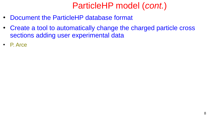# ParticleHP model (*cont.*)

- Document the ParticleHP database format
- Create a tool to automatically change the charged particle cross sections adding user experimental data
- P. Arce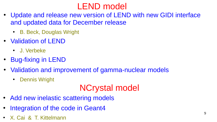### LEND model

- Update and release new version of LEND with new GIDI interface and updated data for December release
	- B. Beck, Douglas Wright
- Validation of LEND
	- J. Verbeke
- **Bug-fixing in LEND**
- Validation and improvement of gamma-nuclear models
	- Dennis Wright

# NCrystal model

- Add new inelastic scattering models
- Integration of the code in Geant4
- X. Cai & T. Kittelmann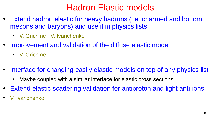#### Hadron Elastic models

- Extend hadron elastic for heavy hadrons (i.e. charmed and bottom mesons and baryons) and use it in physics lists
	- V. Grichine , V. Ivanchenko
- Improvement and validation of the diffuse elastic model
	- V. Grichine
- Interface for changing easily elastic models on top of any physics list
	- Maybe coupled with a similar interface for elastic cross sections
- Extend elastic scattering validation for antiproton and light anti-ions
- V. Ivanchenko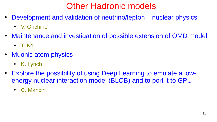# Other Hadronic models

- Development and validation of neutrino/lepton nuclear physics
	- V. Grichine
- Maintenance and investigation of possible extension of QMD model
	- T. Koi
- Muonic atom physics
	- K. Lynch
- Explore the possibility of using Deep Learning to emulate a lowenergy nuclear interaction model (BLOB) and to port it to GPU
	- C. Mancini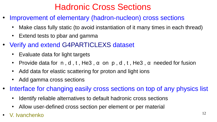# Hadronic Cross Sections

- Improvement of elementary (hadron-nucleon) cross sections
	- Make class fully static (to avoid instantiation of it many times in each thread)
	- Extend tests to pbar and gamma
- Verify and extend G4PARTICLEXS dataset
	- Evaluate data for light targets
	- Provide data for n, d, t, He3,  $\alpha$  on p, d, t, He3,  $\alpha$  needed for fusion
	- Add data for elastic scattering for proton and light ions
	- Add gamma cross sections
- Interface for changing easily cross sections on top of any physics list
	- Identify reliable alternatives to default hadronic cross sections
	- Allow user-defined cross section per element or per material
- V. Ivanchenko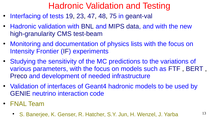# Hadronic Validation and Testing

- Interfacing of tests 19, 23, 47, 48, 75 in geant-val
- Hadronic validation with BNL and MIPS data, and with the new high-granularity CMS test-beam
- Monitoring and documentation of physics lists with the focus on Intensity Frontier (IF) experiments
- Studying the sensitivity of the MC predictions to the variations of various parameters, with the focus on models such as FTF , BERT , Preco and development of needed infrastructure
- Validation of interfaces of Geant4 hadronic models to be used by GENIE neutrino interaction code
- FNAL Team
	- S. Banerjee, K. Genser, R. Hatcher, S.Y. Jun, H. Wenzel, J. Yarba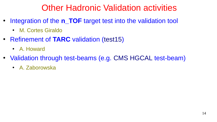#### Other Hadronic Validation activities

- Integration of the **n** TOF target test into the validation tool
	- M. Cortes Giraldo
- Refinement of **TARC** validation (test15)
	- A. Howard
- Validation through test-beams (e.g. CMS HGCAL test-beam)
	- A. Zaborowska